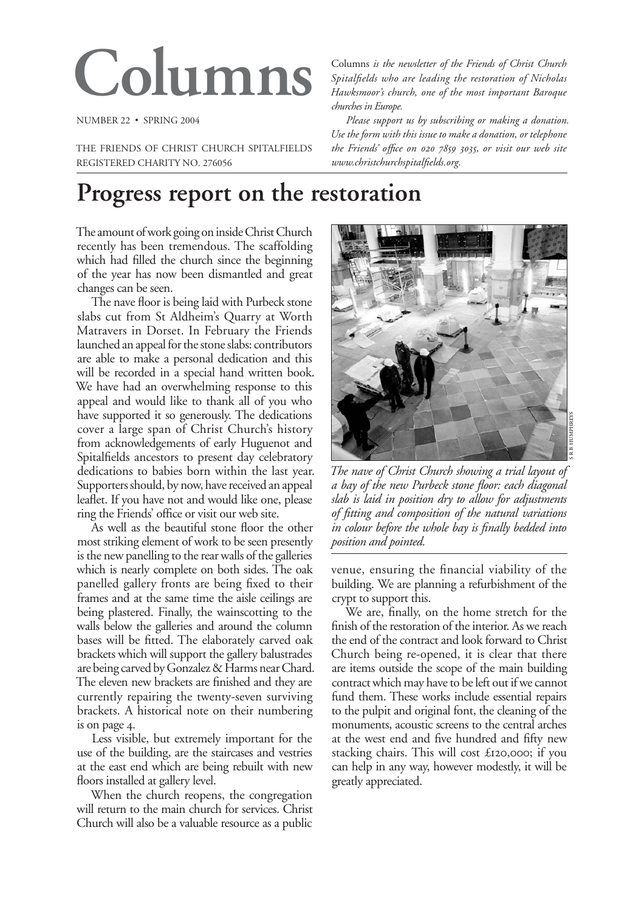# Columns

NUMBER 22 · SPRING 2004

THE FRIENDS OF CHRIST CHURCH SPITALFIELDS REGISTERED CHARITY NO. 276056

Columns is the newsletter of the Friends of Christ Church Spitalfields who are leading the restoration of Nicholas Hawksmoor's church, one of the most important Baroque churches in Europe.

Please support us by subscribing or making a donation. Use the form with this issue to make a donation, or telephone the Friends' office on 020 7859 3035, or visit our web site www.christchurchspitalfields.org.

## Progress report on the restoration

The amount of work going on inside Christ Church recently has been tremendous. The scaffolding which had filled the church since the beginning of the year has now been dismantled and great changes can be seen.

The nave floor is being laid with Purbeck stone slabs cut from St Aldheim's Quarry at Worth Matravers in Dorset. In February the Friends launched an appeal for the stone slabs: contributors are able to make a personal dedication and this will be recorded in a special hand written book. We have had an overwhelming response to this appeal and would like to thank all of you who have supported it so generously. The dedications cover a large span of Christ Church's history from acknowledgements of early Huguenot and Spitalfields ancestors to present day celebratory dedications to babies born within the last year. Supporters should, by now, have received an appeal leaflet. If you have not and would like one, please ring the Friends' office or visit our web site.

As well as the beautiful stone floor the other most striking element of work to be seen presently is the new panelling to the rear walls of the galleries which is nearly complete on both sides. The oak panelled gallery fronts are being fixed to their frames and at the same time the aisle ceilings are being plastered. Finally, the wainscotting to the walls below the galleries and around the column bases will be fitted. The elaborately carved oak brackets which will support the gallery balustrades are being carved by Gonzalez & Harms near Chard. The eleven new brackets are finished and they are currently repairing the twenty-seven surviving brackets. A historical note on their numbering is on page 4.

Less visible, but extremely important for the use of the building, are the staircases and vestries at the east end which are being rebuilt with new floors installed at gallery level.

When the church reopens, the congregation will return to the main church for services. Christ Church will also be a valuable resource as a public



The nave of Christ Church showing a trial layout of a bay of the new Purbeck stone floor: each diagonal slab is laid in position dry to allow for adjustments of fitting and composition of the natural variations in colour before the whole bay is finally bedded into position and pointed.

venue, ensuring the financial viability of the building. We are planning a refurbishment of the crypt to support this.

We are, finally, on the home stretch for the finish of the restoration of the interior. As we reach the end of the contract and look forward to Christ Church being re-opened, it is clear that there are items outside the scope of the main building contract which may have to be left out if we cannot fund them. These works include essential repairs to the pulpit and original font, the cleaning of the monuments, acoustic screens to the central arches at the west end and five hundred and fifty new stacking chairs. This will cost £120,000; if you can help in any way, however modestly, it will be greatly appreciated.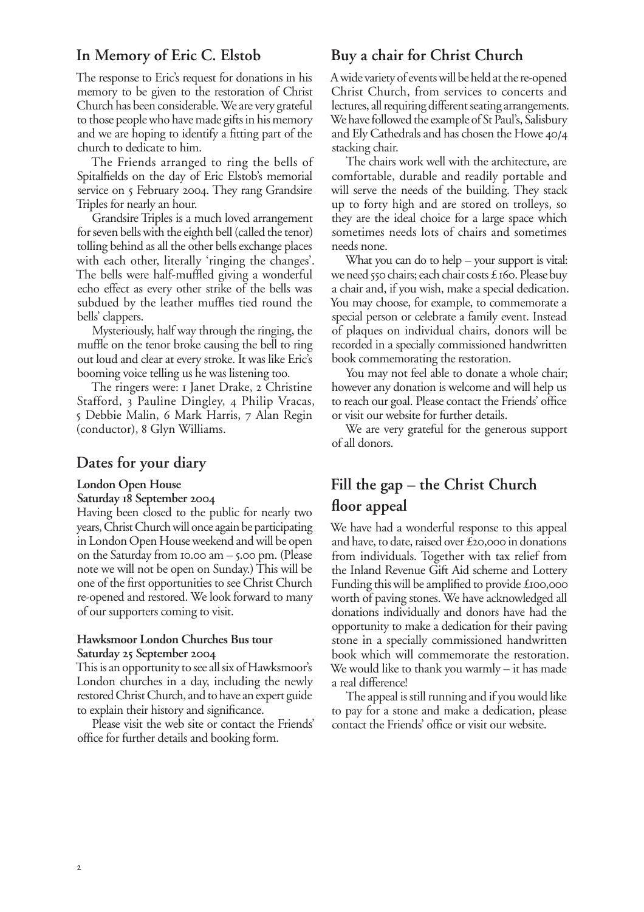#### In Memory of Eric C. Elstob

The response to Eric's request for donations in his memory to be given to the restoration of Christ Church has been considerable. We are very grateful to those people who have made gifts in his memory and we are hoping to identify a fitting part of the church to dedicate to him.

The Friends arranged to ring the bells of Spitalfields on the day of Eric Elstob's memorial service on 5 February 2004. They rang Grandsire Triples for nearly an hour.

Grandsire Triples is a much loved arrangement for seven bells with the eighth bell (called the tenor) tolling behind as all the other bells exchange places with each other, literally 'ringing the changes'. The bells were half-muffled giving a wonderful echo effect as every other strike of the bells was subdued by the leather muffles tied round the bells' clappers.

Mysteriously, half way through the ringing, the muffle on the tenor broke causing the bell to ring out loud and clear at every stroke. It was like Eric's booming voice telling us he was listening too.

The ringers were: I Janet Drake, 2 Christine Stafford, 3 Pauline Dingley, 4 Philip Vracas, 5 Debbie Malin, 6 Mark Harris, 7 Alan Regin (conductor), 8 Glyn Williams.

#### Dates for your diary

#### **London Open House**

#### Saturday 18 September 2004

Having been closed to the public for nearly two years, Christ Church will once again be participating in London Open House weekend and will be open on the Saturday from 10.00 am  $-$  5.00 pm. (Please note we will not be open on Sunday.) This will be one of the first opportunities to see Christ Church re-opened and restored. We look forward to many of our supporters coming to visit.

#### Hawksmoor London Churches Bus tour Saturday 25 September 2004

This is an opportunity to see all six of Hawksmoor's London churches in a day, including the newly restored Christ Church, and to have an expert guide to explain their history and significance.

Please visit the web site or contact the Friends' office for further details and booking form.

### Buy a chair for Christ Church

A wide variety of events will be held at the re-opened Christ Church, from services to concerts and lectures, all requiring different seating arrangements. We have followed the example of St Paul's, Salisbury and Ely Cathedrals and has chosen the Howe 40/4 stacking chair.

The chairs work well with the architecture, are comfortable, durable and readily portable and will serve the needs of the building. They stack up to forty high and are stored on trolleys, so they are the ideal choice for a large space which sometimes needs lots of chairs and sometimes needs none.

What you can do to help  $-$  your support is vital: we need 550 chairs; each chair costs £160. Please buy a chair and, if you wish, make a special dedication. You may choose, for example, to commemorate a special person or celebrate a family event. Instead of plaques on individual chairs, donors will be recorded in a specially commissioned handwritten book commemorating the restoration.

You may not feel able to donate a whole chair; however any donation is welcome and will help us to reach our goal. Please contact the Friends' office or visit our website for further details.

We are very grateful for the generous support of all donors.

## Fill the gap – the Christ Church floor appeal

We have had a wonderful response to this appeal and have, to date, raised over £20,000 in donations from individuals. Together with tax relief from the Inland Revenue Gift Aid scheme and Lottery Funding this will be amplified to provide £100,000 worth of paving stones. We have acknowledged all donations individually and donors have had the opportunity to make a dedication for their paving stone in a specially commissioned handwritten book which will commemorate the restoration. We would like to thank you warmly  $-$  it has made a real difference!

The appeal is still running and if you would like to pay for a stone and make a dedication, please contact the Friends' office or visit our website.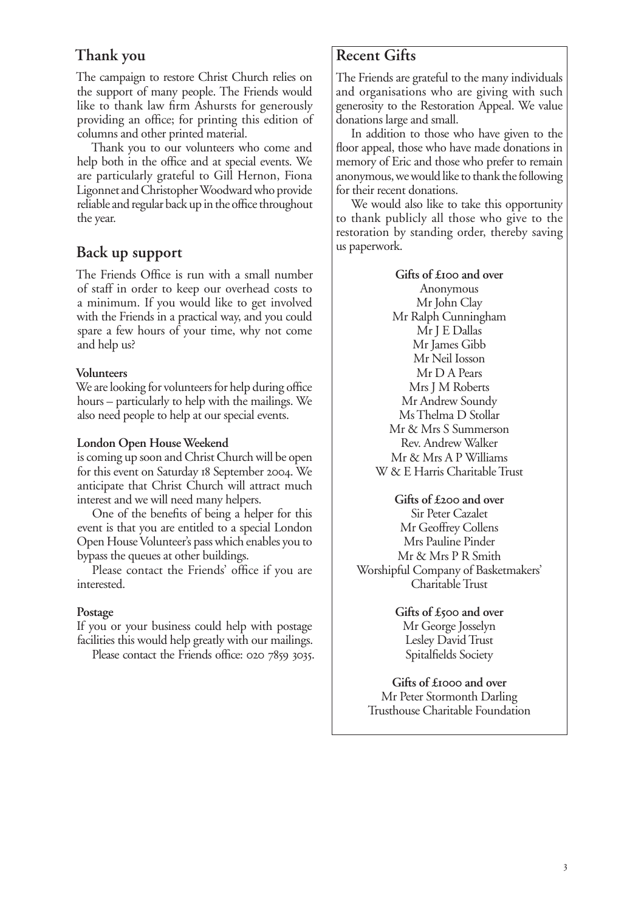## Thank you

The campaign to restore Christ Church relies on the support of many people. The Friends would like to thank law firm Ashursts for generously providing an office; for printing this edition of columns and other printed material.

Thank you to our volunteers who come and help both in the office and at special events. We are particularly grateful to Gill Hernon, Fiona Ligonnet and Christopher Woodward who provide reliable and regular back up in the office throughout the year.

## Back up support

The Friends Office is run with a small number of staff in order to keep our overhead costs to a minimum. If you would like to get involved with the Friends in a practical way, and you could spare a few hours of your time, why not come and help us?

#### **Volunteers**

We are looking for volunteers for help during office hours – particularly to help with the mailings. We also need people to help at our special events.

#### London Open House Weekend

is coming up soon and Christ Church will be open for this event on Saturday 18 September 2004. We anticipate that Christ Church will attract much interest and we will need many helpers.

One of the benefits of being a helper for this event is that you are entitled to a special London Open House Volunteer's pass which enables you to bypass the queues at other buildings.

Please contact the Friends' office if you are interested.

#### Postage

If you or your business could help with postage facilities this would help greatly with our mailings.

Please contact the Friends office: 020 7859 3035.

## **Recent Gifts**

The Friends are grateful to the many individuals and organisations who are giving with such generosity to the Restoration Appeal. We value donations large and small.

In addition to those who have given to the floor appeal, those who have made donations in memory of Eric and those who prefer to remain anonymous, we would like to thank the following for their recent donations.

We would also like to take this opportunity to thank publicly all those who give to the restoration by standing order, thereby saving us paperwork.

## Gifts of £100 and over Anonymous

Mr John Clay Mr Ralph Cunningham Mr J E Dallas Mr James Gibb Mr Neil Iosson Mr D A Pears Mrs J M Roberts Mr Andrew Soundy Ms Thelma D Stollar Mr & Mrs S Summerson Rev. Andrew Walker Mr & Mrs A P Williams W & E Harris Charitable Trust

Gifts of £200 and over Sir Peter Cazalet Mr Geoffrey Collens Mrs Pauline Pinder Mr & Mrs P R Smith Worshipful Company of Basketmakers' Charitable Trust

> Gifts of £500 and over Mr George Josselyn Lesley David Trust Spitalfields Society

Gifts of £1000 and over Mr Peter Stormonth Darling Trusthouse Charitable Foundation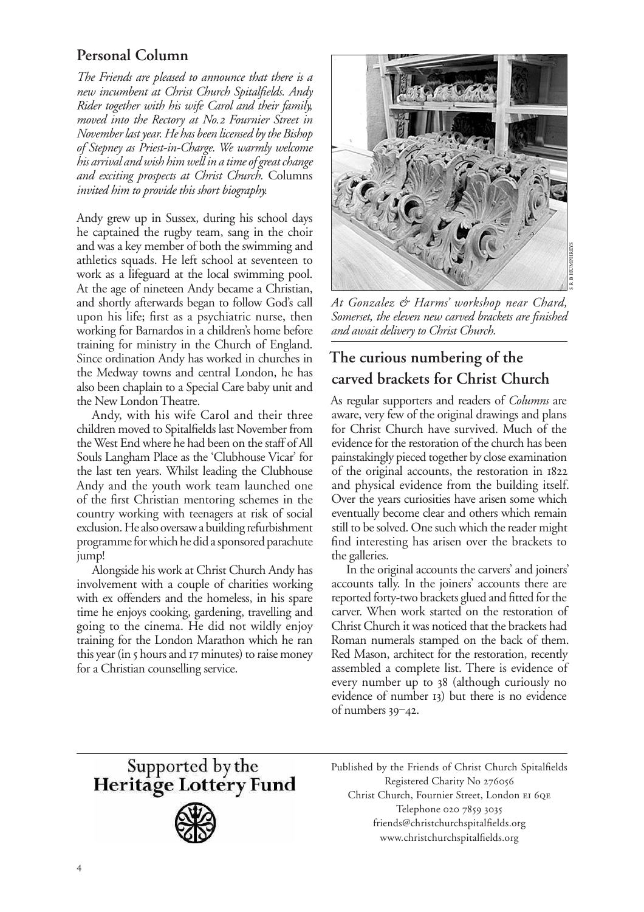## Personal Column

The Friends are pleased to announce that there is a new incumbent at Christ Church Spitalfields. Andy Rider together with his wife Carol and their family moved into the Rectory at No.2 Fournier Street in November last year. He has been licensed by the Bishop of Stepney as Priest-in-Charge. We warmly welcome his arrival and wish him well in a time of great change and exciting prospects at Christ Church. Columns invited him to provide this short biography.

Andy grew up in Sussex, during his school days he captained the rugby team, sang in the choir and was a key member of both the swimming and athletics squads. He left school at seventeen to work as a lifeguard at the local swimming pool. At the age of nineteen Andy became a Christian, and shortly afterwards began to follow God's call upon his life; first as a psychiatric nurse, then working for Barnardos in a children's home before training for ministry in the Church of England. Since ordination Andy has worked in churches in the Medway towns and central London, he has also been chaplain to a Special Care baby unit and the New London Theatre.

Andy, with his wife Carol and their three children moved to Spitalfields last November from the West End where he had been on the staff of All Souls Langham Place as the 'Clubhouse Vicar' for the last ten years. Whilst leading the Clubhouse Andy and the youth work team launched one of the first Christian mentoring schemes in the country working with teenagers at risk of social exclusion. He also oversaw a building refurbishment programme for which he did a sponsored parachute jump!

Alongside his work at Christ Church Andy has involvement with a couple of charities working with ex offenders and the homeless, in his spare time he enjoys cooking, gardening, travelling and going to the cinema. He did not wildly enjoy training for the London Marathon which he ran this year (in 5 hours and 17 minutes) to raise money for a Christian counselling service.



At Gonzalez & Harms' workshop near Chard, Somerset, the eleven new carved brackets are finished and await delivery to Christ Church.

## The curious numbering of the carved brackets for Christ Church

As regular supporters and readers of *Columns* are aware, very few of the original drawings and plans for Christ Church have survived. Much of the evidence for the restoration of the church has been painstakingly pieced together by close examination of the original accounts, the restoration in 1822 and physical evidence from the building itself. Over the years curiosities have arisen some which eventually become clear and others which remain still to be solved. One such which the reader might find interesting has arisen over the brackets to the galleries.

In the original accounts the carvers' and joiners' accounts tally. In the joiners' accounts there are reported forty-two brackets glued and fitted for the carver. When work started on the restoration of Christ Church it was noticed that the brackets had Roman numerals stamped on the back of them. Red Mason, architect for the restoration, recently assembled a complete list. There is evidence of every number up to 38 (although curiously no evidence of number 13) but there is no evidence of numbers  $39-42$ .

Supported by the<br>Heritage Lottery Fund



Published by the Friends of Christ Church Spitalfields Registered Charity No 276056 Christ Church, Fournier Street, London EI 6QE Telephone 020 7859 3035 friends@christchurchspitalfields.org www.christchurchspitalfields.org